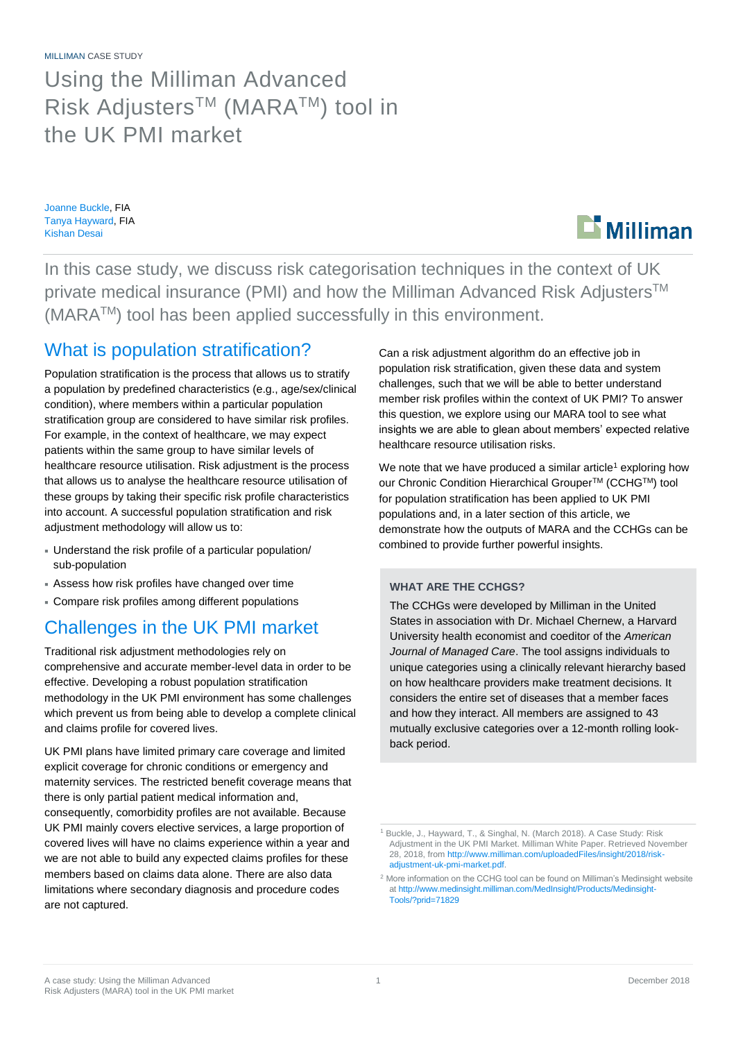MILLIMAN CASE STUDY

Using the Milliman Advanced Risk Adjusters™ (MARA™) tool in the UK PMI market

Joanne Buckle, FIA Tanya Hayward, FIA Kishan Desai



In this case study, we discuss risk categorisation techniques in the context of UK private medical insurance (PMI) and how the Milliman Advanced Risk Adjusters<sup>™</sup> (MARATM) tool has been applied successfully in this environment.

## What is population stratification?

Population stratification is the process that allows us to stratify a population by predefined characteristics (e.g., age/sex/clinical condition), where members within a particular population stratification group are considered to have similar risk profiles. For example, in the context of healthcare, we may expect patients within the same group to have similar levels of healthcare resource utilisation. Risk adjustment is the process that allows us to analyse the healthcare resource utilisation of these groups by taking their specific risk profile characteristics into account. A successful population stratification and risk adjustment methodology will allow us to:

- Understand the risk profile of a particular population/ sub-population
- Assess how risk profiles have changed over time
- Compare risk profiles among different populations

## Challenges in the UK PMI market

Traditional risk adjustment methodologies rely on comprehensive and accurate member-level data in order to be effective. Developing a robust population stratification methodology in the UK PMI environment has some challenges which prevent us from being able to develop a complete clinical and claims profile for covered lives.

UK PMI plans have limited primary care coverage and limited explicit coverage for chronic conditions or emergency and maternity services. The restricted benefit coverage means that there is only partial patient medical information and, consequently, comorbidity profiles are not available. Because UK PMI mainly covers elective services, a large proportion of covered lives will have no claims experience within a year and we are not able to build any expected claims profiles for these members based on claims data alone. There are also data limitations where secondary diagnosis and procedure codes are not captured.

Can a risk adjustment algorithm do an effective job in population risk stratification, given these data and system challenges, such that we will be able to better understand member risk profiles within the context of UK PMI? To answer this question, we explore using our MARA tool to see what insights we are able to glean about members' expected relative healthcare resource utilisation risks.

We note that we have produced a similar article<sup>1</sup> exploring how our Chronic Condition Hierarchical Grouper<sup>™</sup> (CCHG™) tool for population stratification has been applied to UK PMI populations and, in a later section of this article, we demonstrate how the outputs of MARA and the CCHGs can be combined to provide further powerful insights.

### **WHAT ARE THE CCHGS?**

The CCHGs were developed by Milliman in the United States in association with Dr. Michael Chernew, a Harvard University health economist and coeditor of the *American Journal of Managed Care*. The tool assigns individuals to unique categories using a clinically relevant hierarchy based on how healthcare providers make treatment decisions. It considers the entire set of diseases that a member faces and how they interact. All members are assigned to 43 mutually exclusive categories over a 12-month rolling lookback period.

<sup>&</sup>lt;sup>1</sup> Buckle, J., Hayward, T., & Singhal, N. (March 2018). A Case Study: Risk Adjustment in the UK PMI Market. Milliman White Paper. Retrieved November 28, 2018, fro[m http://www.milliman.com/uploadedFiles/insight/2018/risk](http://www.milliman.com/uploadedFiles/insight/2018/risk-adjustment-uk-pmi-market.pdf)[adjustment-uk-pmi-market.pdf.](http://www.milliman.com/uploadedFiles/insight/2018/risk-adjustment-uk-pmi-market.pdf)

<sup>&</sup>lt;sup>2</sup> More information on the CCHG tool can be found on Milliman's Medinsight website a[t http://www.medinsight.milliman.com/MedInsight/Products/Medinsight-](http://www.medinsight.milliman.com/MedInsight/Products/Medinsight-Tools/?prid=71829)[Tools/?prid=71829](http://www.medinsight.milliman.com/MedInsight/Products/Medinsight-Tools/?prid=71829)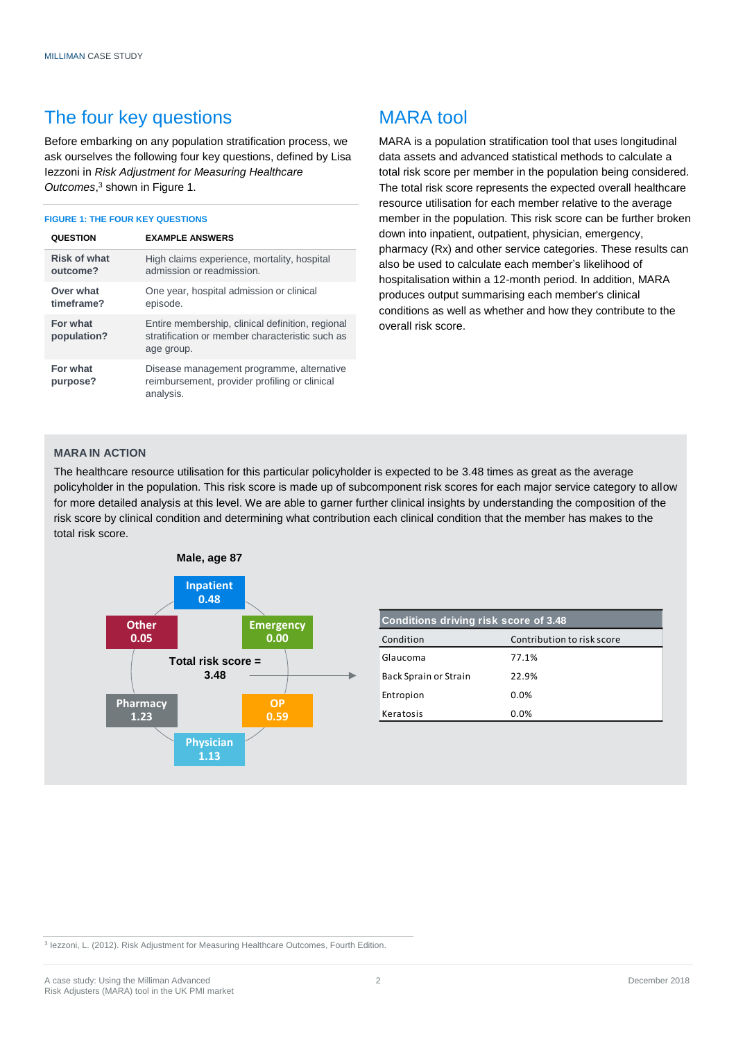### The four key questions

Before embarking on any population stratification process, we ask ourselves the following four key questions, defined by Lisa Iezzoni in *Risk Adjustment for Measuring Healthcare Outcomes*, <sup>3</sup> shown in Figure 1.

#### **FIGURE 1: THE FOUR KEY QUESTIONS**

| <b>QUESTION</b>                 | <b>EXAMPLE ANSWERS</b>                                                                                            |
|---------------------------------|-------------------------------------------------------------------------------------------------------------------|
| <b>Risk of what</b><br>outcome? | High claims experience, mortality, hospital<br>admission or readmission.                                          |
| Over what<br>timeframe?         | One year, hospital admission or clinical<br>episode.                                                              |
| For what<br>population?         | Entire membership, clinical definition, regional<br>stratification or member characteristic such as<br>age group. |
| For what<br>purpose?            | Disease management programme, alternative<br>reimbursement, provider profiling or clinical<br>analysis.           |

# MARA tool

MARA is a population stratification tool that uses longitudinal data assets and advanced statistical methods to calculate a total risk score per member in the population being considered. The total risk score represents the expected overall healthcare resource utilisation for each member relative to the average member in the population. This risk score can be further broken down into inpatient, outpatient, physician, emergency, pharmacy (Rx) and other service categories. These results can also be used to calculate each member's likelihood of hospitalisation within a 12-month period. In addition, MARA produces output summarising each member's clinical conditions as well as whether and how they contribute to the overall risk score.

### **MARA IN ACTION**

The healthcare resource utilisation for this particular policyholder is expected to be 3.48 times as great as the average policyholder in the population. This risk score is made up of subcomponent risk scores for each major service category to allow for more detailed analysis at this level. We are able to garner further clinical insights by understanding the composition of the risk score by clinical condition and determining what contribution each clinical condition that the member has makes to the total risk score.



| Conditions driving risk score of 3.48 |                            |  |  |
|---------------------------------------|----------------------------|--|--|
| Condition                             | Contribution to risk score |  |  |
| Glaucoma                              | 77.1%                      |  |  |
| Back Sprain or Strain                 | 22.9%                      |  |  |
| Entropion                             | $0.0\%$                    |  |  |
| Keratosis                             | $0.0\%$                    |  |  |

<sup>3</sup> Iezzoni, L. (2012). Risk Adjustment for Measuring Healthcare Outcomes, Fourth Edition.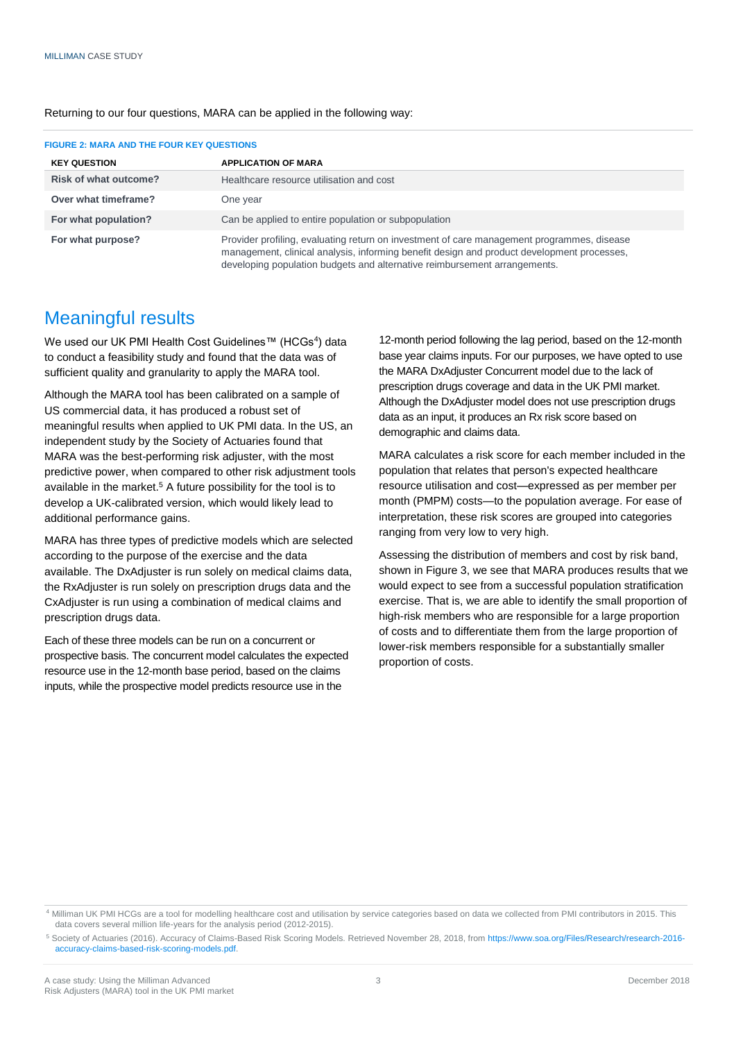| <b>FIGURE 2: MARA AND THE FOUR KEY QUESTIONS</b> |                                                                                                                                                                                                                                                                       |  |  |
|--------------------------------------------------|-----------------------------------------------------------------------------------------------------------------------------------------------------------------------------------------------------------------------------------------------------------------------|--|--|
| <b>KEY QUESTION</b>                              | <b>APPLICATION OF MARA</b>                                                                                                                                                                                                                                            |  |  |
| <b>Risk of what outcome?</b>                     | Healthcare resource utilisation and cost                                                                                                                                                                                                                              |  |  |
| Over what timeframe?                             | One year                                                                                                                                                                                                                                                              |  |  |
| For what population?                             | Can be applied to entire population or subpopulation                                                                                                                                                                                                                  |  |  |
| For what purpose?                                | Provider profiling, evaluating return on investment of care management programmes, disease<br>management, clinical analysis, informing benefit design and product development processes,<br>developing population budgets and alternative reimbursement arrangements. |  |  |

#### Returning to our four questions, MARA can be applied in the following way:

### Meaningful results

We used our UK PMI Health Cost Guidelines™ (HCGs<sup>4</sup>) data to conduct a feasibility study and found that the data was of sufficient quality and granularity to apply the MARA tool.

Although the MARA tool has been calibrated on a sample of US commercial data, it has produced a robust set of meaningful results when applied to UK PMI data. In the US, an independent study by the Society of Actuaries found that MARA was the best-performing risk adjuster, with the most predictive power, when compared to other risk adjustment tools available in the market.<sup>5</sup> A future possibility for the tool is to develop a UK-calibrated version, which would likely lead to additional performance gains.

MARA has three types of predictive models which are selected according to the purpose of the exercise and the data available. The DxAdjuster is run solely on medical claims data, the RxAdjuster is run solely on prescription drugs data and the CxAdjuster is run using a combination of medical claims and prescription drugs data.

Each of these three models can be run on a concurrent or prospective basis. The concurrent model calculates the expected resource use in the 12-month base period, based on the claims inputs, while the prospective model predicts resource use in the

12-month period following the lag period, based on the 12-month base year claims inputs. For our purposes, we have opted to use the MARA DxAdjuster Concurrent model due to the lack of prescription drugs coverage and data in the UK PMI market. Although the DxAdjuster model does not use prescription drugs data as an input, it produces an Rx risk score based on demographic and claims data.

MARA calculates a risk score for each member included in the population that relates that person's expected healthcare resource utilisation and cost—expressed as per member per month (PMPM) costs—to the population average. For ease of interpretation, these risk scores are grouped into categories ranging from very low to very high.

Assessing the distribution of members and cost by risk band, shown in Figure 3, we see that MARA produces results that we would expect to see from a successful population stratification exercise. That is, we are able to identify the small proportion of high-risk members who are responsible for a large proportion of costs and to differentiate them from the large proportion of lower-risk members responsible for a substantially smaller proportion of costs.

<sup>4</sup> Milliman UK PMI HCGs are a tool for modelling healthcare cost and utilisation by service categories based on data we collected from PMI contributors in 2015. This data covers several million life-years for the analysis period (2012-2015).

<sup>5</sup> Society of Actuaries (2016). Accuracy of Claims-Based Risk Scoring Models. Retrieved November 28, 2018, from [https://www.soa.org/Files/Research/research-2016](https://www.soa.org/Files/Research/research-2016-accuracy-claims-based-risk-scoring-models.pdf) [accuracy-claims-based-risk-scoring-models.pdf.](https://www.soa.org/Files/Research/research-2016-accuracy-claims-based-risk-scoring-models.pdf)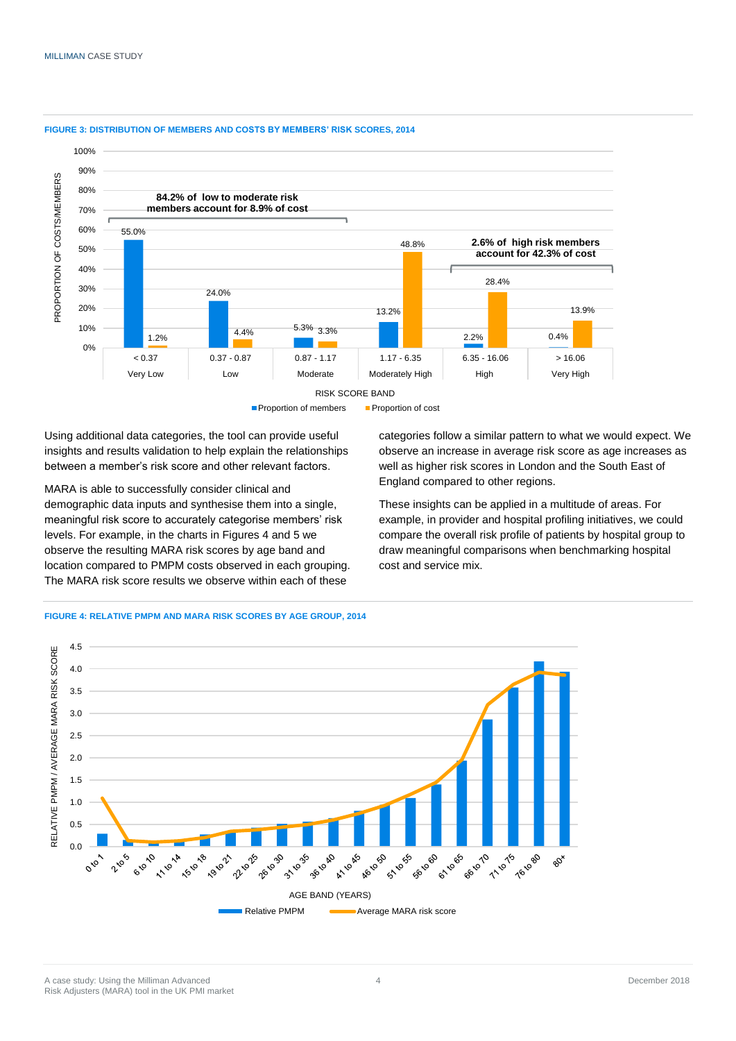

#### **FIGURE 3: DISTRIBUTION OF MEMBERS AND COSTS BY MEMBERS' RISK SCORES, 2014**



Using additional data categories, the tool can provide useful insights and results validation to help explain the relationships between a member's risk score and other relevant factors.

MARA is able to successfully consider clinical and demographic data inputs and synthesise them into a single, meaningful risk score to accurately categorise members' risk levels. For example, in the charts in Figures 4 and 5 we observe the resulting MARA risk scores by age band and location compared to PMPM costs observed in each grouping. The MARA risk score results we observe within each of these

categories follow a similar pattern to what we would expect. We observe an increase in average risk score as age increases as well as higher risk scores in London and the South East of England compared to other regions.

These insights can be applied in a multitude of areas. For example, in provider and hospital profiling initiatives, we could compare the overall risk profile of patients by hospital group to draw meaningful comparisons when benchmarking hospital cost and service mix.



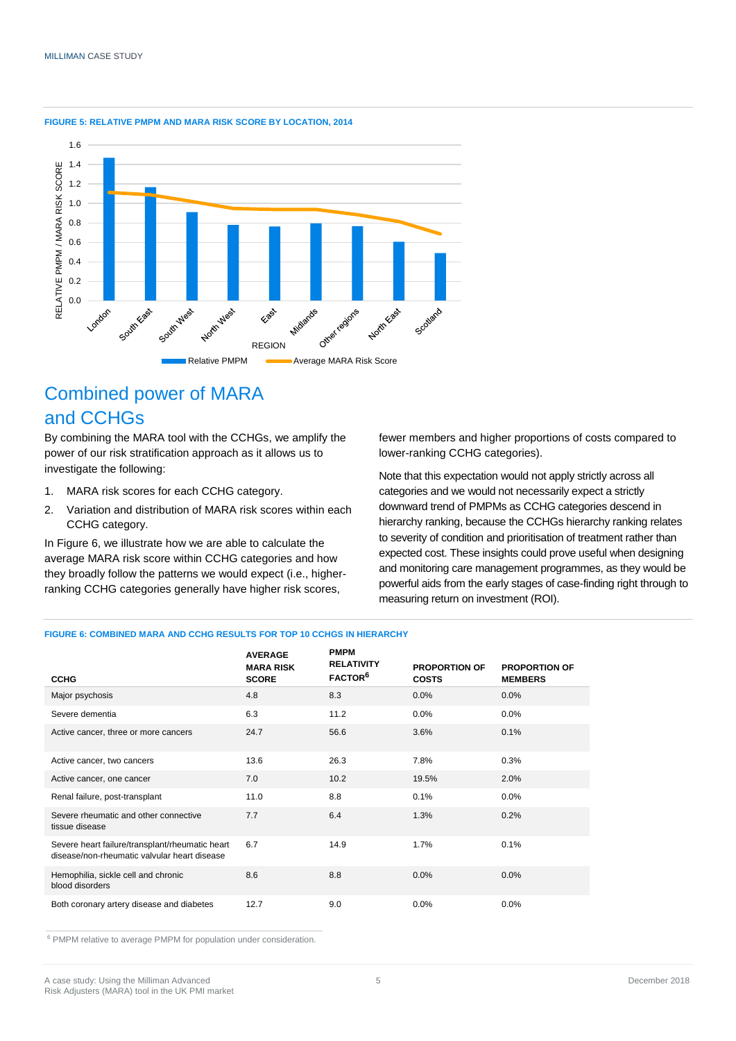

#### **FIGURE 5: RELATIVE PMPM AND MARA RISK SCORE BY LOCATION, 2014**

# Combined power of MARA and CCHGs

By combining the MARA tool with the CCHGs, we amplify the power of our risk stratification approach as it allows us to investigate the following:

- 1. MARA risk scores for each CCHG category.
- 2. Variation and distribution of MARA risk scores within each CCHG category.

In Figure 6, we illustrate how we are able to calculate the average MARA risk score within CCHG categories and how they broadly follow the patterns we would expect (i.e., higherranking CCHG categories generally have higher risk scores,

fewer members and higher proportions of costs compared to lower-ranking CCHG categories).

Note that this expectation would not apply strictly across all categories and we would not necessarily expect a strictly downward trend of PMPMs as CCHG categories descend in hierarchy ranking, because the CCHGs hierarchy ranking relates to severity of condition and prioritisation of treatment rather than expected cost. These insights could prove useful when designing and monitoring care management programmes, as they would be powerful aids from the early stages of case-finding right through to measuring return on investment (ROI).

#### **FIGURE 6: COMBINED MARA AND CCHG RESULTS FOR TOP 10 CCHGS IN HIERARCHY**

|                                                                                                 | <b>AVERAGE</b><br><b>MARA RISK</b> | <b>PMPM</b><br><b>RELATIVITY</b> | <b>PROPORTION OF</b> | <b>PROPORTION OF</b> |
|-------------------------------------------------------------------------------------------------|------------------------------------|----------------------------------|----------------------|----------------------|
| <b>CCHG</b>                                                                                     | <b>SCORE</b>                       | FACTOR <sup>6</sup>              | <b>COSTS</b>         | <b>MEMBERS</b>       |
| Major psychosis                                                                                 | 4.8                                | 8.3                              | 0.0%                 | 0.0%                 |
| Severe dementia                                                                                 | 6.3                                | 11.2                             | 0.0%                 | 0.0%                 |
| Active cancer, three or more cancers                                                            | 24.7                               | 56.6                             | 3.6%                 | 0.1%                 |
| Active cancer, two cancers                                                                      | 13.6                               | 26.3                             | 7.8%                 | 0.3%                 |
| Active cancer, one cancer                                                                       | 7.0                                | 10.2                             | 19.5%                | 2.0%                 |
| Renal failure, post-transplant                                                                  | 11.0                               | 8.8                              | 0.1%                 | 0.0%                 |
| Severe rheumatic and other connective<br>tissue disease                                         | 7.7                                | 6.4                              | 1.3%                 | 0.2%                 |
| Severe heart failure/transplant/rheumatic heart<br>disease/non-rheumatic valvular heart disease | 6.7                                | 14.9                             | 1.7%                 | 0.1%                 |
| Hemophilia, sickle cell and chronic<br>blood disorders                                          | 8.6                                | 8.8                              | 0.0%                 | 0.0%                 |
| Both coronary artery disease and diabetes                                                       | 12.7                               | 9.0                              | 0.0%                 | 0.0%                 |

<sup>6</sup> PMPM relative to average PMPM for population under consideration.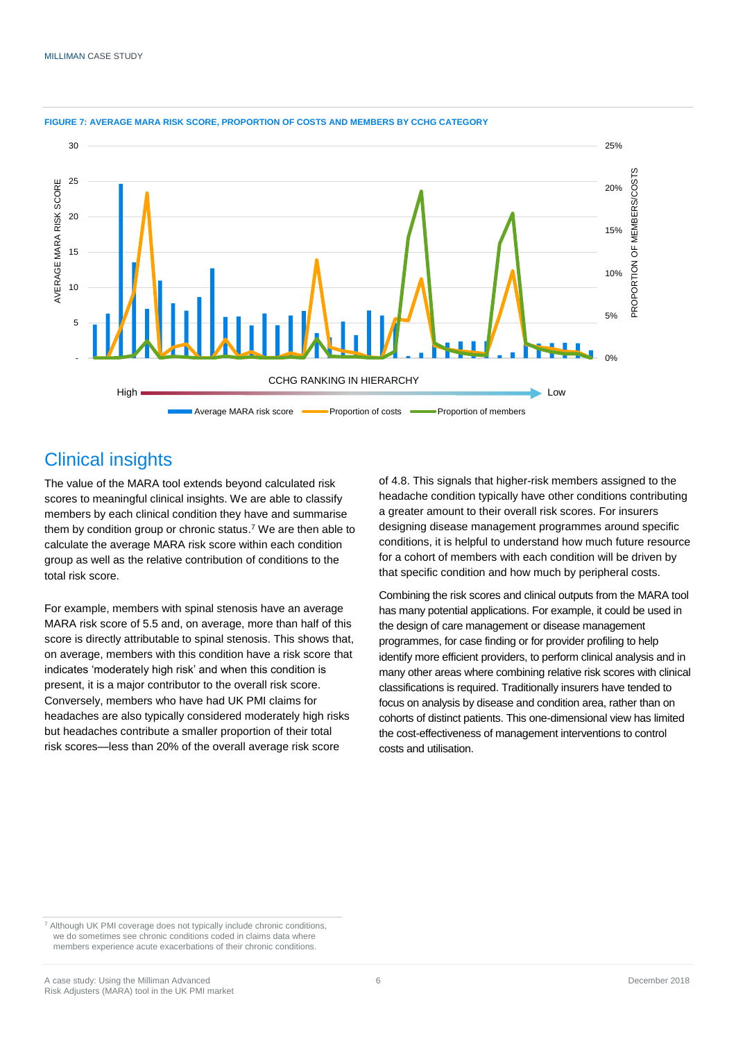

#### **FIGURE 7: AVERAGE MARA RISK SCORE, PROPORTION OF COSTS AND MEMBERS BY CCHG CATEGORY**

## Clinical insights

The value of the MARA tool extends beyond calculated risk scores to meaningful clinical insights. We are able to classify members by each clinical condition they have and summarise them by condition group or chronic status. <sup>7</sup> We are then able to calculate the average MARA risk score within each condition group as well as the relative contribution of conditions to the total risk score.

For example, members with spinal stenosis have an average MARA risk score of 5.5 and, on average, more than half of this score is directly attributable to spinal stenosis. This shows that, on average, members with this condition have a risk score that indicates 'moderately high risk' and when this condition is present, it is a major contributor to the overall risk score. Conversely, members who have had UK PMI claims for headaches are also typically considered moderately high risks but headaches contribute a smaller proportion of their total risk scores—less than 20% of the overall average risk score

of 4.8. This signals that higher-risk members assigned to the headache condition typically have other conditions contributing a greater amount to their overall risk scores. For insurers designing disease management programmes around specific conditions, it is helpful to understand how much future resource for a cohort of members with each condition will be driven by that specific condition and how much by peripheral costs.

Combining the risk scores and clinical outputs from the MARA tool has many potential applications. For example, it could be used in the design of care management or disease management programmes, for case finding or for provider profiling to help identify more efficient providers, to perform clinical analysis and in many other areas where combining relative risk scores with clinical classifications is required. Traditionally insurers have tended to focus on analysis by disease and condition area, rather than on cohorts of distinct patients. This one-dimensional view has limited the cost-effectiveness of management interventions to control costs and utilisation.

<sup>7</sup> Although UK PMI coverage does not typically include chronic conditions, we do sometimes see chronic conditions coded in claims data where members experience acute exacerbations of their chronic conditions.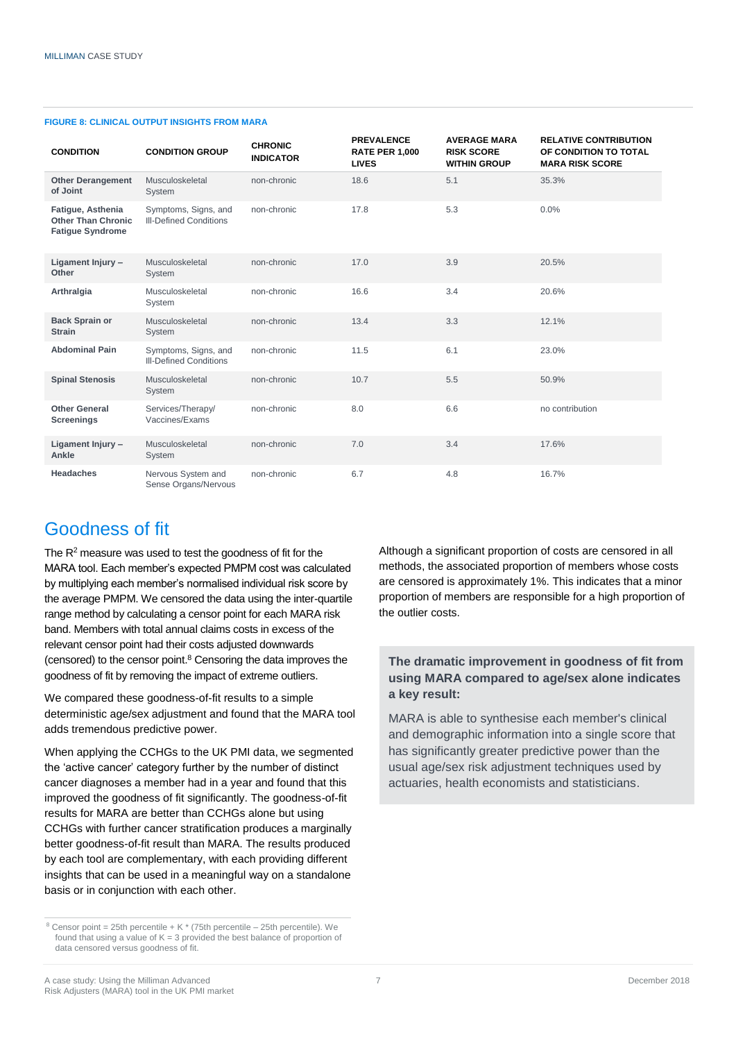| <b>CONDITION</b>                                                          | <b>CONDITION GROUP</b>                                | <b>CHRONIC</b><br><b>INDICATOR</b> | <b>PREVALENCE</b><br><b>RATE PER 1,000</b><br><b>LIVES</b> | <b>AVERAGE MARA</b><br><b>RISK SCORE</b><br><b>WITHIN GROUP</b> | <b>RELATIVE CONTRIBUTION</b><br>OF CONDITION TO TOTAL<br><b>MARA RISK SCORE</b> |
|---------------------------------------------------------------------------|-------------------------------------------------------|------------------------------------|------------------------------------------------------------|-----------------------------------------------------------------|---------------------------------------------------------------------------------|
| <b>Other Derangement</b><br>of Joint                                      | Musculoskeletal<br>System                             | non-chronic                        | 18.6                                                       | 5.1                                                             | 35.3%                                                                           |
| Fatigue, Asthenia<br><b>Other Than Chronic</b><br><b>Fatigue Syndrome</b> | Symptoms, Signs, and<br><b>III-Defined Conditions</b> | non-chronic                        | 17.8                                                       | 5.3                                                             | 0.0%                                                                            |
| Ligament Injury -<br>Other                                                | Musculoskeletal<br>System                             | non-chronic                        | 17.0                                                       | 3.9                                                             | 20.5%                                                                           |
| Arthralgia                                                                | Musculoskeletal<br>System                             | non-chronic                        | 16.6                                                       | 3.4                                                             | 20.6%                                                                           |
| <b>Back Sprain or</b><br><b>Strain</b>                                    | Musculoskeletal<br>System                             | non-chronic                        | 13.4                                                       | 3.3                                                             | 12.1%                                                                           |
| <b>Abdominal Pain</b>                                                     | Symptoms, Signs, and<br><b>III-Defined Conditions</b> | non-chronic                        | 11.5                                                       | 6.1                                                             | 23.0%                                                                           |
| <b>Spinal Stenosis</b>                                                    | Musculoskeletal<br>System                             | non-chronic                        | 10.7                                                       | 5.5                                                             | 50.9%                                                                           |
| <b>Other General</b><br><b>Screenings</b>                                 | Services/Therapy/<br>Vaccines/Exams                   | non-chronic                        | 8.0                                                        | 6.6                                                             | no contribution                                                                 |
| Ligament Injury -<br>Ankle                                                | Musculoskeletal<br>System                             | non-chronic                        | 7.0                                                        | 3.4                                                             | 17.6%                                                                           |
| <b>Headaches</b>                                                          | Nervous System and<br>Sense Organs/Nervous            | non-chronic                        | 6.7                                                        | 4.8                                                             | 16.7%                                                                           |

#### **FIGURE 8: CLINICAL OUTPUT INSIGHTS FROM MARA**

### Goodness of fit

The R<sup>2</sup> measure was used to test the goodness of fit for the MARA tool. Each member's expected PMPM cost was calculated by multiplying each member's normalised individual risk score by the average PMPM. We censored the data using the inter-quartile range method by calculating a censor point for each MARA risk band. Members with total annual claims costs in excess of the relevant censor point had their costs adjusted downwards (censored) to the censor point.<sup>8</sup> Censoring the data improves the goodness of fit by removing the impact of extreme outliers.

We compared these goodness-of-fit results to a simple deterministic age/sex adjustment and found that the MARA tool adds tremendous predictive power.

When applying the CCHGs to the UK PMI data, we segmented the 'active cancer' category further by the number of distinct cancer diagnoses a member had in a year and found that this improved the goodness of fit significantly. The goodness-of-fit results for MARA are better than CCHGs alone but using CCHGs with further cancer stratification produces a marginally better goodness-of-fit result than MARA. The results produced by each tool are complementary, with each providing different insights that can be used in a meaningful way on a standalone basis or in conjunction with each other.

Although a significant proportion of costs are censored in all methods, the associated proportion of members whose costs are censored is approximately 1%. This indicates that a minor proportion of members are responsible for a high proportion of the outlier costs.

### **The dramatic improvement in goodness of fit from using MARA compared to age/sex alone indicates a key result:**

MARA is able to synthesise each member's clinical and demographic information into a single score that has significantly greater predictive power than the usual age/sex risk adjustment techniques used by actuaries, health economists and statisticians.

 $8$  Censor point = 25th percentile + K  $*$  (75th percentile – 25th percentile). We found that using a value of  $K = 3$  provided the best balance of proportion of data censored versus goodness of fit.